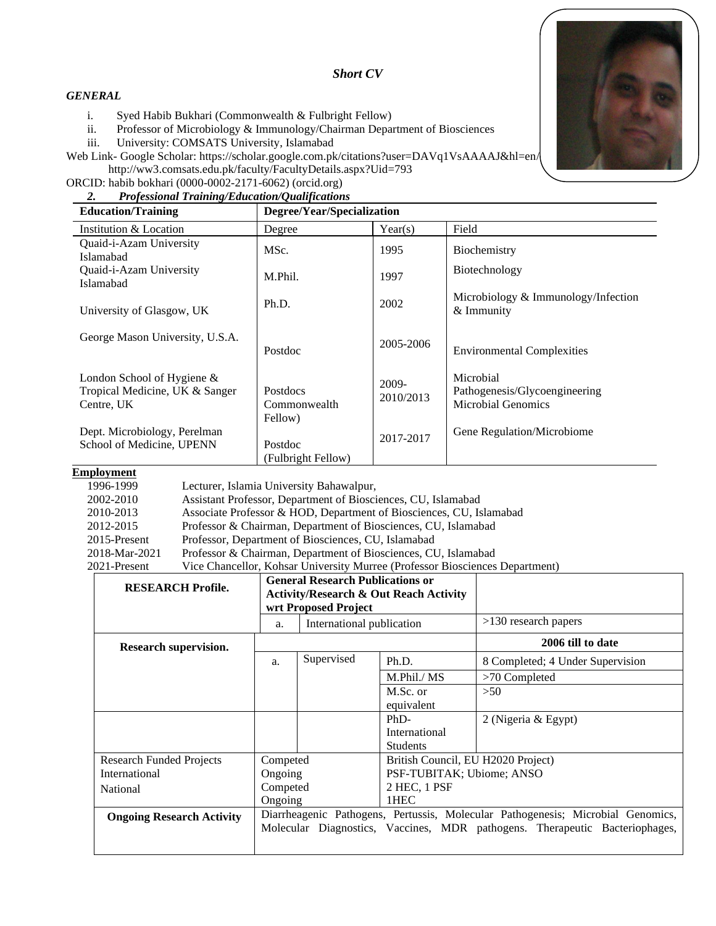

### *Short CV*

#### *GENERAL*

i. Syed Habib Bukhari (Commonwealth & Fulbright Fellow)

ii. Professor of Microbiology & Immunology/Chairman Department of Biosciences

iii. University: COMSATS University, Islamabad

Web Link- Google Scholar[: https://scholar.google.com.pk/citations?user=DAVq1VsAAAAJ&hl=en/](https://scholar.google.com.pk/citations?user=DAVq1VsAAAAJ&hl=en) <http://ww3.comsats.edu.pk/faculty/FacultyDetails.aspx?Uid=793>

ORCID: [habib bokhari \(0000-0002-2171-6062\) \(orcid.org\)](https://orcid.org/0000-0002-2171-6062)

### *2. Professional Training/Education/Qualifications*

|                                                              | <b>Education/Training</b>                                                     | Degree/Year/Specialization                 |                    |                                                                         |  |  |
|--------------------------------------------------------------|-------------------------------------------------------------------------------|--------------------------------------------|--------------------|-------------------------------------------------------------------------|--|--|
|                                                              | Institution & Location                                                        | Degree                                     | Year(s)            | Field                                                                   |  |  |
|                                                              | Quaid-i-Azam University<br>Islamabad                                          | MSc.                                       | 1995               | Biochemistry                                                            |  |  |
|                                                              | Quaid-i-Azam University<br>Islamabad                                          | M.Phil.                                    | 1997               | Biotechnology                                                           |  |  |
| University of Glasgow, UK<br>George Mason University, U.S.A. |                                                                               | Ph.D.                                      | 2002               | Microbiology & Immunology/Infection<br>& Immunity                       |  |  |
|                                                              |                                                                               | Postdoc                                    | 2005-2006          | <b>Environmental Complexities</b>                                       |  |  |
|                                                              | London School of Hygiene $\&$<br>Tropical Medicine, UK & Sanger<br>Centre, UK | <b>Postdocs</b><br>Commonwealth<br>Fellow) | 2009-<br>2010/2013 | Microbial<br>Pathogenesis/Glycoengineering<br><b>Microbial Genomics</b> |  |  |
|                                                              | Dept. Microbiology, Perelman<br>School of Medicine, UPENN                     | Postdoc<br>(Fulbright Fellow)              | 2017-2017          | Gene Regulation/Microbiome                                              |  |  |

#### **Employment**

1996-1999 Lecturer, Islamia University Bahawalpur,

| 2002-2010     | Assistant Professor, Department of Biosciences, CU, Islamabad                |
|---------------|------------------------------------------------------------------------------|
| 2010-2013     | Associate Professor & HOD, Department of Biosciences, CU, Islamabad          |
| 2012-2015     | Professor & Chairman, Department of Biosciences, CU, Islamabad               |
| 2015-Present  | Professor, Department of Biosciences, CU, Islamabad                          |
| 2018-Mar-2021 | Professor & Chairman, Department of Biosciences, CU, Islamabad               |
| 2021-Present  | Vice Chancellor, Kohsar University Murree (Professor Biosciences Department) |

| <b>RESEARCH Profile.</b>         | <b>General Research Publications or</b><br><b>Activity/Research &amp; Out Reach Activity</b><br>wrt Proposed Project                                           |                           |                                    |                                  |
|----------------------------------|----------------------------------------------------------------------------------------------------------------------------------------------------------------|---------------------------|------------------------------------|----------------------------------|
|                                  | a.                                                                                                                                                             | International publication |                                    | $>130$ research papers           |
| Research supervision.            |                                                                                                                                                                |                           |                                    | 2006 till to date                |
|                                  | a.                                                                                                                                                             | Supervised                | Ph.D.                              | 8 Completed; 4 Under Supervision |
|                                  |                                                                                                                                                                |                           | M.Phil./ MS                        | $>70$ Completed                  |
|                                  |                                                                                                                                                                |                           | M.Sc. or<br>equivalent             | >50                              |
|                                  |                                                                                                                                                                |                           | $PhD-$                             | 2 (Nigeria & Egypt)              |
|                                  |                                                                                                                                                                |                           | International<br><b>Students</b>   |                                  |
| Research Funded Projects         | Competed                                                                                                                                                       |                           | British Council, EU H2020 Project) |                                  |
| International                    | Ongoing                                                                                                                                                        |                           | PSF-TUBITAK; Ubiome; ANSO          |                                  |
| Competed<br>National<br>Ongoing  |                                                                                                                                                                | 2 HEC, 1 PSF              |                                    |                                  |
|                                  |                                                                                                                                                                |                           | 1HEC                               |                                  |
| <b>Ongoing Research Activity</b> | Diarrheagenic Pathogens, Pertussis, Molecular Pathogenesis; Microbial Genomics,<br>Molecular Diagnostics, Vaccines, MDR pathogens. Therapeutic Bacteriophages, |                           |                                    |                                  |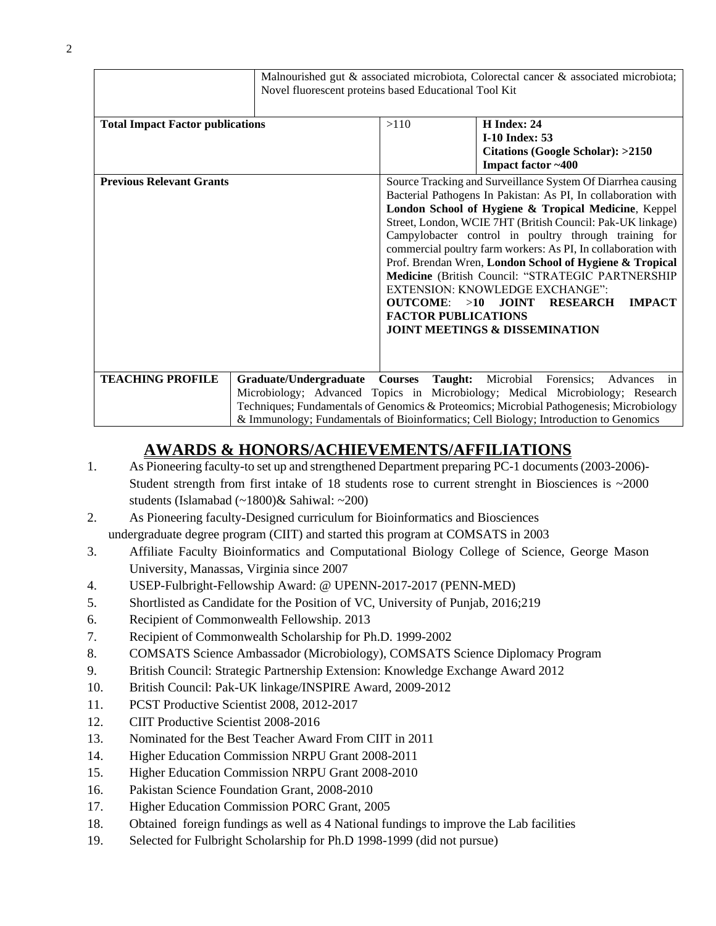|                                         | Novel fluorescent proteins based Educational Tool Kit |                                                    | Malnourished gut & associated microbiota, Colorectal cancer & associated microbiota;                                                                                                                                                                                                                                                                                                                                                                                                                                                                                                                                    |
|-----------------------------------------|-------------------------------------------------------|----------------------------------------------------|-------------------------------------------------------------------------------------------------------------------------------------------------------------------------------------------------------------------------------------------------------------------------------------------------------------------------------------------------------------------------------------------------------------------------------------------------------------------------------------------------------------------------------------------------------------------------------------------------------------------------|
| <b>Total Impact Factor publications</b> |                                                       | >110                                               | H Index: 24<br><b>I-10 Index: 53</b><br>Citations (Google Scholar): >2150<br>Impact factor ~400                                                                                                                                                                                                                                                                                                                                                                                                                                                                                                                         |
| <b>Previous Relevant Grants</b>         |                                                       | $OUTCOME: >10$ JOINT<br><b>FACTOR PUBLICATIONS</b> | Source Tracking and Surveillance System Of Diarrhea causing<br>Bacterial Pathogens In Pakistan: As PI, In collaboration with<br>London School of Hygiene & Tropical Medicine, Keppel<br>Street, London, WCIE 7HT (British Council: Pak-UK linkage)<br>Campylobacter control in poultry through training for<br>commercial poultry farm workers: As PI, In collaboration with<br>Prof. Brendan Wren, London School of Hygiene & Tropical<br>Medicine (British Council: "STRATEGIC PARTNERSHIP<br><b>EXTENSION: KNOWLEDGE EXCHANGE":</b><br><b>RESEARCH</b><br><b>IMPACT</b><br><b>JOINT MEETINGS &amp; DISSEMINATION</b> |
| <b>TEACHING PROFILE</b>                 |                                                       |                                                    | Graduate/Undergraduate Courses Taught: Microbial Forensics; Advances<br>in<br>Microbiology; Advanced Topics in Microbiology; Medical Microbiology; Research<br>Techniques; Fundamentals of Genomics & Proteomics; Microbial Pathogenesis; Microbiology<br>& Immunology; Fundamentals of Bioinformatics; Cell Biology; Introduction to Genomics                                                                                                                                                                                                                                                                          |

## **AWARDS & HONORS/ACHIEVEMENTS/AFFILIATIONS**

- 1. As Pioneering faculty-to set up and strengthened Department preparing PC-1 documents (2003-2006)- Student strength from first intake of 18 students rose to current strenght in Biosciences is  $\sim$ 2000 students (Islamabad (~1800)& Sahiwal: ~200)
- 2. As Pioneering faculty-Designed curriculum for Bioinformatics and Biosciences undergraduate degree program (CIIT) and started this program at COMSATS in 2003
- 3. Affiliate Faculty Bioinformatics and Computational Biology College of Science, George Mason University, Manassas, Virginia since 2007
- 4. USEP-Fulbright-Fellowship Award: @ UPENN-2017-2017 (PENN-MED)
- 5. Shortlisted as Candidate for the Position of VC, University of Punjab, 2016;219
- 6. Recipient of Commonwealth Fellowship. 2013
- 7. Recipient of Commonwealth Scholarship for Ph.D. 1999-2002
- 8. COMSATS Science Ambassador (Microbiology), COMSATS Science Diplomacy Program
- 9. British Council: Strategic Partnership Extension: Knowledge Exchange Award 2012
- 10. British Council: Pak-UK linkage/INSPIRE Award, 2009-2012
- 11. PCST Productive Scientist 2008, 2012-2017
- 12. CIIT Productive Scientist 2008-2016
- 13. Nominated for the Best Teacher Award From CIIT in 2011
- 14. Higher Education Commission NRPU Grant 2008-2011
- 15. Higher Education Commission NRPU Grant 2008-2010
- 16. Pakistan Science Foundation Grant, 2008-2010
- 17. Higher Education Commission PORC Grant, 2005
- 18. Obtained foreign fundings as well as 4 National fundings to improve the Lab facilities
- 19. Selected for Fulbright Scholarship for Ph.D 1998-1999 (did not pursue)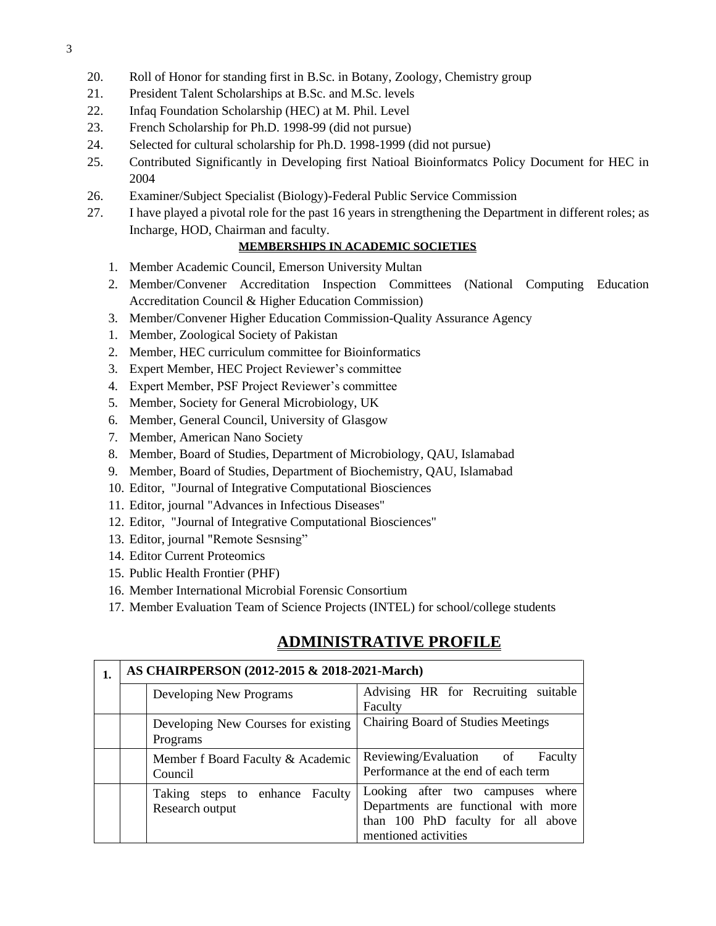- 20. Roll of Honor for standing first in B.Sc. in Botany, Zoology, Chemistry group
- 21. President Talent Scholarships at B.Sc. and M.Sc. levels
- 22. Infaq Foundation Scholarship (HEC) at M. Phil. Level
- 23. French Scholarship for Ph.D. 1998-99 (did not pursue)
- 24. Selected for cultural scholarship for Ph.D. 1998-1999 (did not pursue)
- 25. Contributed Significantly in Developing first Natioal Bioinformatcs Policy Document for HEC in 2004
- 26. Examiner/Subject Specialist (Biology)-Federal Public Service Commission
- 27. I have played a pivotal role for the past 16 years in strengthening the Department in different roles; as Incharge, HOD, Chairman and faculty.

### **MEMBERSHIPS IN ACADEMIC SOCIETIES**

- 1. Member Academic Council, Emerson University Multan
- 2. Member/Convener Accreditation Inspection Committees (National Computing Education Accreditation Council & Higher Education Commission)
- 3. Member/Convener Higher Education Commission-Quality Assurance Agency
- 1. Member, Zoological Society of Pakistan
- 2. Member, HEC curriculum committee for Bioinformatics
- 3. Expert Member, HEC Project Reviewer's committee
- 4. Expert Member, PSF Project Reviewer's committee
- 5. Member, Society for General Microbiology, UK
- 6. Member, General Council, University of Glasgow
- 7. Member, American Nano Society
- 8. Member, Board of Studies, Department of Microbiology, QAU, Islamabad
- 9. Member, Board of Studies, Department of Biochemistry, QAU, Islamabad
- 10. Editor, "Journal of Integrative Computational Biosciences
- 11. Editor, journal "Advances in Infectious Diseases"
- 12. Editor, "Journal of Integrative Computational Biosciences"
- 13. Editor, journal "Remote Sesnsing"
- 14. Editor Current Proteomics
- 15. Public Health Frontier (PHF)
- 16. Member International Microbial Forensic Consortium
- 17. Member Evaluation Team of Science Projects (INTEL) for school/college students

## **ADMINISTRATIVE PROFILE**

| AS CHAIRPERSON (2012-2015 & 2018-2021-March) |                                                    |                                                                                                                                        |  |
|----------------------------------------------|----------------------------------------------------|----------------------------------------------------------------------------------------------------------------------------------------|--|
|                                              | Developing New Programs                            | Advising HR for Recruiting suitable<br>Faculty                                                                                         |  |
|                                              | Developing New Courses for existing<br>Programs    | <b>Chairing Board of Studies Meetings</b>                                                                                              |  |
|                                              | Member f Board Faculty & Academic<br>Council       | Reviewing/Evaluation of Faculty<br>Performance at the end of each term                                                                 |  |
|                                              | Taking steps to enhance Faculty<br>Research output | Looking after two campuses where<br>Departments are functional with more<br>than 100 PhD faculty for all above<br>mentioned activities |  |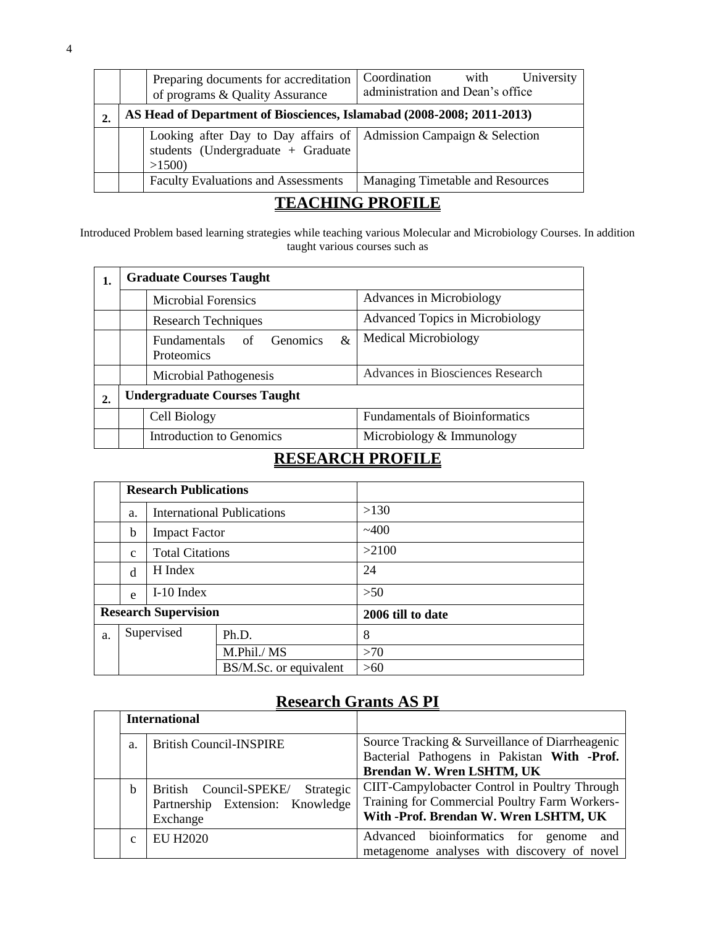|                | Preparing documents for accreditation<br>of programs & Quality Assurance                                            | Coordination<br>University<br>with<br>administration and Dean's office |  |  |  |
|----------------|---------------------------------------------------------------------------------------------------------------------|------------------------------------------------------------------------|--|--|--|
|                | AS Head of Department of Biosciences, Islamabad (2008-2008; 2011-2013)                                              |                                                                        |  |  |  |
|                | Looking after Day to Day affairs of   Admission Campaign & Selection<br>students (Undergraduate + Graduate<br>>1500 |                                                                        |  |  |  |
|                | <b>Faculty Evaluations and Assessments</b>                                                                          | <b>Managing Timetable and Resources</b>                                |  |  |  |
| mn<br>TNA DDA' |                                                                                                                     |                                                                        |  |  |  |

### **TEACHING PROFILE**

Introduced Problem based learning strategies while teaching various Molecular and Microbiology Courses. In addition taught various courses such as

| 1. |                                     | <b>Graduate Courses Taught</b>                                         |                                        |  |
|----|-------------------------------------|------------------------------------------------------------------------|----------------------------------------|--|
|    |                                     | <b>Microbial Forensics</b>                                             | Advances in Microbiology               |  |
|    |                                     | <b>Research Techniques</b>                                             | <b>Advanced Topics in Microbiology</b> |  |
|    |                                     | &<br><b>Fundamentals</b><br><b>Genomics</b><br>of<br><b>Proteomics</b> | <b>Medical Microbiology</b>            |  |
|    |                                     | <b>Microbial Pathogenesis</b>                                          | Advances in Biosciences Research       |  |
| 2. | <b>Undergraduate Courses Taught</b> |                                                                        |                                        |  |
|    |                                     | Cell Biology                                                           | <b>Fundamentals of Bioinformatics</b>  |  |
|    |                                     | Introduction to Genomics                                               | Microbiology & Immunology              |  |

## **RESEARCH PROFILE**

|    |                             | <b>Research Publications</b> |                                   |                   |
|----|-----------------------------|------------------------------|-----------------------------------|-------------------|
|    | a.                          |                              | <b>International Publications</b> | >130              |
|    | b                           | <b>Impact Factor</b>         |                                   | $-400$            |
|    | $\mathbf{C}$                | <b>Total Citations</b>       |                                   | >2100             |
|    | d                           | H Index                      |                                   | 24                |
|    | e                           | $I-10$ Index                 |                                   | >50               |
|    | <b>Research Supervision</b> |                              |                                   | 2006 till to date |
| a. | Supervised                  |                              | Ph.D.                             | 8                 |
|    |                             |                              | M.Phil./ MS                       | >70               |
|    |                             |                              | BS/M.Sc. or equivalent            | >60               |

# **Research Grants AS PI**

|              | <b>International</b>                |                                                 |
|--------------|-------------------------------------|-------------------------------------------------|
| a.           | <b>British Council-INSPIRE</b>      | Source Tracking & Surveillance of Diarrheagenic |
|              |                                     | Bacterial Pathogens in Pakistan With -Prof.     |
|              |                                     | Brendan W. Wren LSHTM, UK                       |
| b            | British Council-SPEKE/<br>Strategic | CIIT-Campylobacter Control in Poultry Through   |
|              | Partnership Extension: Knowledge    | Training for Commercial Poultry Farm Workers-   |
|              | Exchange                            | With -Prof. Brendan W. Wren LSHTM, UK           |
| $\mathbf{C}$ | <b>EU H2020</b>                     | Advanced bioinformatics for genome<br>and       |
|              |                                     | metagenome analyses with discovery of novel     |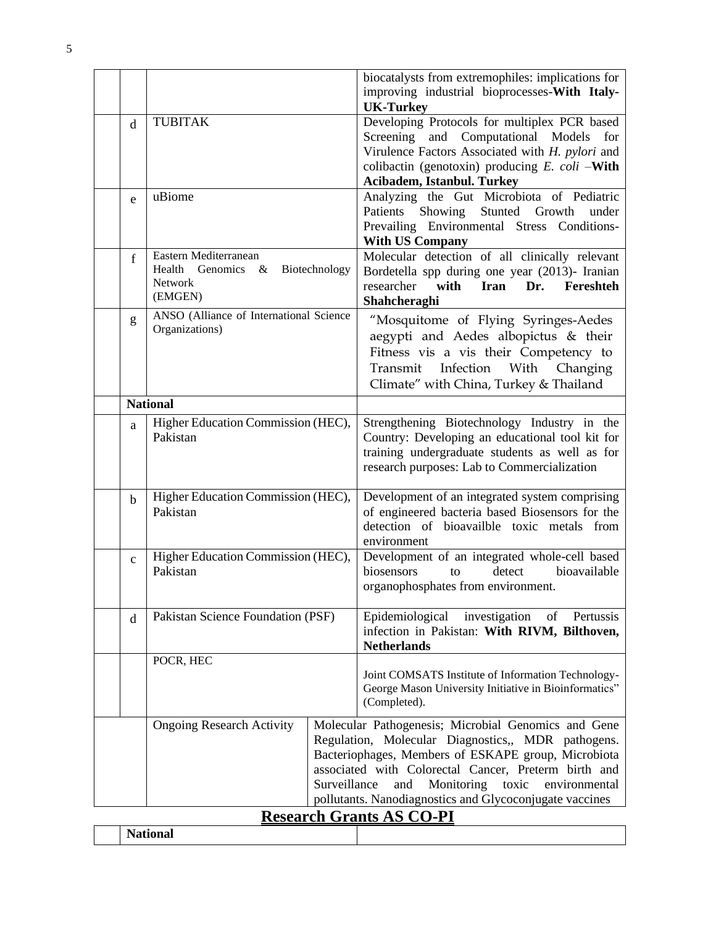|                                 |                                                           |               | biocatalysts from extremophiles: implications for                                                   |
|---------------------------------|-----------------------------------------------------------|---------------|-----------------------------------------------------------------------------------------------------|
|                                 |                                                           |               | improving industrial bioprocesses-With Italy-                                                       |
|                                 | <b>TUBITAK</b>                                            |               | <b>UK-Turkey</b><br>Developing Protocols for multiplex PCR based                                    |
| d                               |                                                           |               | Screening and Computational Models<br>for                                                           |
|                                 |                                                           |               | Virulence Factors Associated with H. pylori and                                                     |
|                                 |                                                           |               | colibactin (genotoxin) producing $E.$ coli -With                                                    |
|                                 |                                                           |               | Acibadem, Istanbul. Turkey                                                                          |
| e                               | uBiome                                                    |               | Analyzing the Gut Microbiota of Pediatric                                                           |
|                                 |                                                           |               | Showing Stunted Growth<br>Patients<br>under                                                         |
|                                 |                                                           |               | Prevailing Environmental Stress Conditions-                                                         |
|                                 |                                                           |               | <b>With US Company</b>                                                                              |
| f                               | Eastern Mediterranean                                     |               | Molecular detection of all clinically relevant                                                      |
|                                 | Health<br>Genomics &                                      | Biotechnology | Bordetella spp during one year (2013)- Iranian                                                      |
|                                 | Network<br>(EMGEN)                                        |               | <b>Iran</b><br>Dr.<br>researcher<br>with<br>Fereshteh                                               |
|                                 |                                                           |               | Shahcheraghi                                                                                        |
| g                               | ANSO (Alliance of International Science<br>Organizations) |               | "Mosquitome of Flying Syringes-Aedes                                                                |
|                                 |                                                           |               | aegypti and Aedes albopictus & their                                                                |
|                                 |                                                           |               | Fitness vis a vis their Competency to                                                               |
|                                 |                                                           |               | Transmit Infection With Changing                                                                    |
|                                 |                                                           |               | Climate" with China, Turkey & Thailand                                                              |
|                                 | <b>National</b>                                           |               |                                                                                                     |
| a                               | Higher Education Commission (HEC),                        |               | Strengthening Biotechnology Industry in the                                                         |
|                                 | Pakistan                                                  |               | Country: Developing an educational tool kit for                                                     |
|                                 |                                                           |               | training undergraduate students as well as for                                                      |
|                                 |                                                           |               | research purposes: Lab to Commercialization                                                         |
| $\mathbf b$                     | Higher Education Commission (HEC),                        |               | Development of an integrated system comprising                                                      |
|                                 | Pakistan                                                  |               | of engineered bacteria based Biosensors for the                                                     |
|                                 |                                                           |               | detection of bioavailble toxic metals from                                                          |
|                                 |                                                           |               | environment                                                                                         |
| $\mathbf{C}$                    | Higher Education Commission (HEC),                        |               | Development of an integrated whole-cell based                                                       |
|                                 | Pakistan                                                  |               | biosensors<br>detect<br>bioavailable<br>to                                                          |
|                                 |                                                           |               | organophosphates from environment.                                                                  |
|                                 |                                                           |               |                                                                                                     |
| $\mathbf d$                     | Pakistan Science Foundation (PSF)                         |               | Epidemiological<br>investigation<br>of<br>Pertussis<br>infection in Pakistan: With RIVM, Bilthoven, |
|                                 |                                                           |               | <b>Netherlands</b>                                                                                  |
|                                 | POCR, HEC                                                 |               |                                                                                                     |
|                                 |                                                           |               | Joint COMSATS Institute of Information Technology-                                                  |
|                                 |                                                           |               | George Mason University Initiative in Bioinformatics"                                               |
|                                 |                                                           |               | (Completed).                                                                                        |
|                                 | <b>Ongoing Research Activity</b>                          |               | Molecular Pathogenesis; Microbial Genomics and Gene                                                 |
|                                 |                                                           |               | Regulation, Molecular Diagnostics,, MDR pathogens.                                                  |
|                                 |                                                           |               | Bacteriophages, Members of ESKAPE group, Microbiota                                                 |
|                                 |                                                           |               | associated with Colorectal Cancer, Preterm birth and                                                |
|                                 |                                                           | Surveillance  | toxic<br>and<br>Monitoring<br>environmental                                                         |
|                                 |                                                           |               | pollutants. Nanodiagnostics and Glycoconjugate vaccines                                             |
| <b>Research Grants AS CO-PI</b> |                                                           |               |                                                                                                     |

|  |  | Acocal ch Orange Alo CO TT |  |  |
|--|--|----------------------------|--|--|
|  |  |                            |  |  |
|  |  |                            |  |  |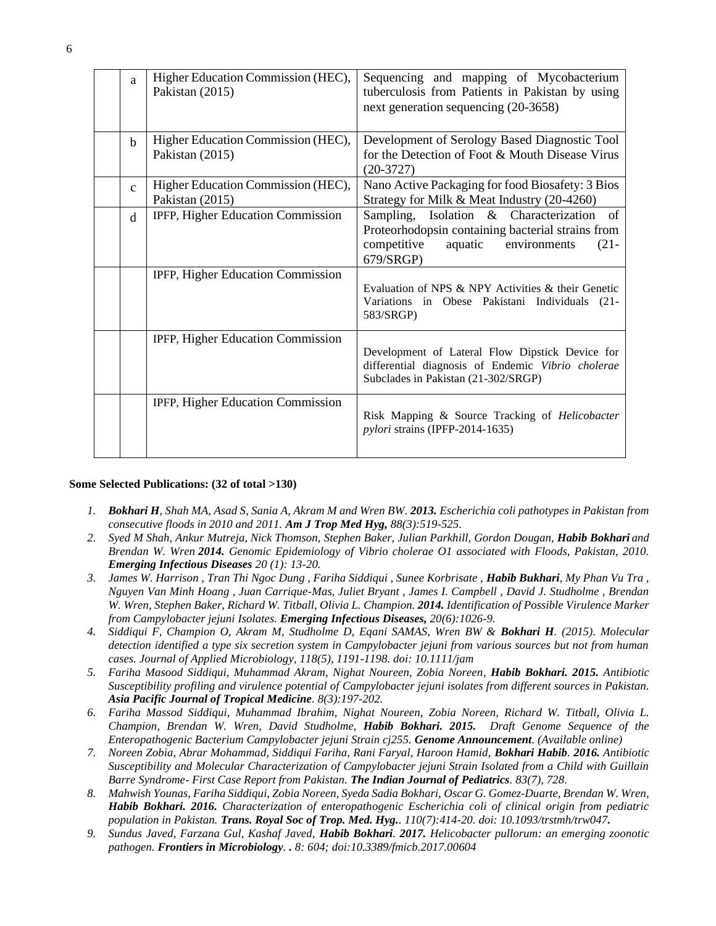| a            | Higher Education Commission (HEC),<br>Pakistan (2015) | Sequencing and mapping of Mycobacterium<br>tuberculosis from Patients in Pakistan by using<br>next generation sequencing (20-3658)                               |
|--------------|-------------------------------------------------------|------------------------------------------------------------------------------------------------------------------------------------------------------------------|
| $\mathbf b$  | Higher Education Commission (HEC),<br>Pakistan (2015) | Development of Serology Based Diagnostic Tool<br>for the Detection of Foot & Mouth Disease Virus<br>$(20-3727)$                                                  |
| $\mathbf{C}$ | Higher Education Commission (HEC),<br>Pakistan (2015) | Nano Active Packaging for food Biosafety: 3 Bios<br>Strategy for Milk & Meat Industry (20-4260)                                                                  |
| d            | IPFP, Higher Education Commission                     | Sampling, Isolation & Characterization of<br>Proteorhodopsin containing bacterial strains from<br>competitive<br>aquatic<br>$(21 -$<br>environments<br>679/SRGP) |
|              | IPFP, Higher Education Commission                     | Evaluation of NPS & NPY Activities & their Genetic<br>Variations in Obese Pakistani Individuals (21-<br>583/SRGP)                                                |
|              | IPFP, Higher Education Commission                     | Development of Lateral Flow Dipstick Device for<br>differential diagnosis of Endemic Vibrio cholerae<br>Subclades in Pakistan (21-302/SRGP)                      |
|              | IPFP, Higher Education Commission                     | Risk Mapping & Source Tracking of Helicobacter<br>pylori strains (IPFP-2014-1635)                                                                                |

#### **Some Selected Publications: (32 of total >130)**

- *1. Bokhari H, Shah MA, Asad S, Sania A, Akram M and Wren BW. 2013. Escherichia coli pathotypes in Pakistan from consecutive floods in 2010 and 2011. Am J Trop Med Hyg, 88(3):519-525.*
- 2. *Syed M Shah, Ankur Mutreja, Nick Thomson, Stephen Baker, Julian Parkhill, Gordon Dougan, Habib Bokhari and Brendan W. Wren 2014. Genomic Epidemiology of Vibrio cholerae O1 associated with Floods, Pakistan, 2010. Emerging Infectious Diseases 20 (1): 13-20.*
- 3. *James W. Harrison , Tran Thi Ngoc Dung , Fariha Siddiqui , Sunee Korbrisate , Habib Bukhari, My Phan Vu Tra , Nguyen Van Minh Hoang , Juan Carrique-Mas, Juliet Bryant , James I. Campbell , David J. Studholme , Brendan W. Wren, Stephen Baker, Richard W. Titball, Olivia L. Champion. 2014. Identification of Possible Virulence Marker from Campylobacter jejuni Isolates. Emerging Infectious Diseases, 20(6):1026-9.*
- *4. Siddiqui F, Champion O, Akram M, Studholme D, Eqani SAMAS, Wren BW & Bokhari H. (2015). Molecular detection identified a type six secretion system in Campylobacter jejuni from various sources but not from human cases. Journal of Applied Microbiology, 118(5), 1191-1198. doi: 10.1111/jam*
- *5. Fariha Masood Siddiqui, Muhammad Akram, Nighat Noureen, Zobia Noreen, Habib Bokhari. 2015. Antibiotic Susceptibility profiling and virulence potential of Campylobacter jejuni isolates from different sources in Pakistan. Asia Pacific Journal of Tropical Medicine. 8(3):197-202.*
- *6. Fariha Massod Siddiqui, Muhammad Ibrahim, Nighat Noureen, Zobia Noreen, Richard W. Titball, Olivia L. Champion, Brendan W. Wren, David Studholme, Habib Bokhari. 2015. Draft Genome Sequence of the Enteropathogenic Bacterium Campylobacter jejuni Strain cj255. Genome Announcement. (Available online)*
- *7. Noreen Zobia, Abrar Mohammad, Siddiqui Fariha, Rani Faryal, Haroon Hamid, Bokhari Habib. 2016. Antibiotic Susceptibility and Molecular Characterization of Campylobacter jejuni Strain Isolated from a Child with Guillain Barre Syndrome- First Case Report from Pakistan. The Indian Journal of Pediatrics. 83(7), 728.*
- *8. Mahwish Younas, Fariha Siddiqui, Zobia Noreen, Syeda Sadia Bokhari, Oscar G. Gomez-Duarte, Brendan W. Wren, Habib Bokhari. 2016. Characterization of enteropathogenic Escherichia coli of clinical origin from pediatric population in Pakistan. Trans. Royal Soc of Trop. Med. Hyg.. 110(7):414-20. doi: 10.1093/trstmh/trw047.*
- *9. Sundus Javed, Farzana Gul, Kashaf Javed, Habib Bokhari. 2017. Helicobacter pullorum: an emerging zoonotic pathogen. Frontiers in Microbiology. . 8: 604; doi[:10.3389/fmicb.2017.00604](https://dx.doi.org/10.3389%2Ffmicb.2017.00604)*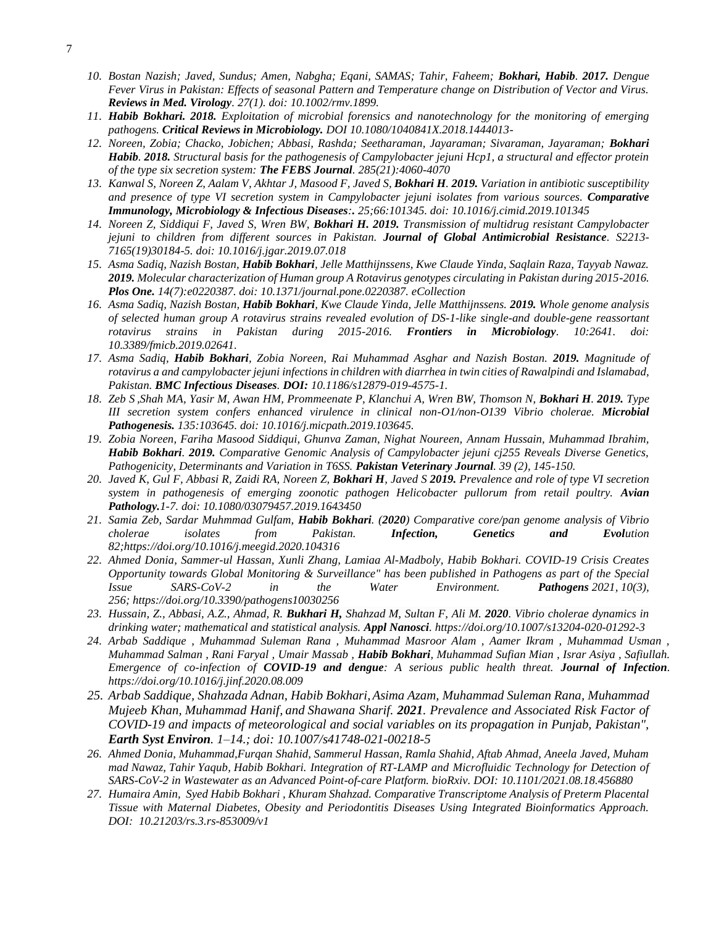- *10. Bostan Nazish; Javed, Sundus; Amen, Nabgha; Eqani, SAMAS; Tahir, Faheem; Bokhari, Habib. 2017. Dengue Fever Virus in Pakistan: Effects of seasonal Pattern and Temperature change on Distribution of Vector and Virus. Reviews in Med. Virology. 27(1). doi: 10.1002/rmv.1899.*
- *11. Habib Bokhari. 2018. Exploitation of microbial forensics and nanotechnology for the monitoring of emerging pathogens. Critical Reviews in Microbiology. DOI 10.1080/1040841X.2018.1444013-*
- *12. Noreen, Zobia; Chacko, Jobichen; Abbasi, Rashda; Seetharaman, Jayaraman; Sivaraman, Jayaraman; Bokhari Habib. 2018. Structural basis for the pathogenesis of Campylobacter jejuni Hcp1, a structural and effector protein of the type six secretion system: The FEBS Journal. 285(21):4060-4070*
- *13. [Kanwal S,](https://www.ncbi.nlm.nih.gov/pubmed/?term=Kanwal%20S%5BAuthor%5D&cauthor=true&cauthor_uid=31476607) [Noreen Z,](https://www.ncbi.nlm.nih.gov/pubmed/?term=Noreen%20Z%5BAuthor%5D&cauthor=true&cauthor_uid=31476607) [Aalam V,](https://www.ncbi.nlm.nih.gov/pubmed/?term=Aalam%20V%5BAuthor%5D&cauthor=true&cauthor_uid=31476607) [Akhtar J,](https://www.ncbi.nlm.nih.gov/pubmed/?term=Akhtar%20J%5BAuthor%5D&cauthor=true&cauthor_uid=31476607) [Masood F,](https://www.ncbi.nlm.nih.gov/pubmed/?term=Masood%20F%5BAuthor%5D&cauthor=true&cauthor_uid=31476607) [Javed S,](https://www.ncbi.nlm.nih.gov/pubmed/?term=Javed%20S%5BAuthor%5D&cauthor=true&cauthor_uid=31476607) [Bokhari H](https://www.ncbi.nlm.nih.gov/pubmed/?term=Bokhari%20H%5BAuthor%5D&cauthor=true&cauthor_uid=31476607). 2019. Variation in antibiotic susceptibility and presence of type VI secretion system in Campylobacter jejuni isolates from various sources. Comparative Immunology, Microbiology & Infectious Diseases:. 25;66:101345. doi: 10.1016/j.cimid.2019.101345*
- *14. [Noreen Z,](https://www.ncbi.nlm.nih.gov/pubmed/?term=Noreen%20Z%5BAuthor%5D&cauthor=true&cauthor_uid=31349065) [Siddiqui F,](https://www.ncbi.nlm.nih.gov/pubmed/?term=Siddiqui%20F%5BAuthor%5D&cauthor=true&cauthor_uid=31349065) [Javed S,](https://www.ncbi.nlm.nih.gov/pubmed/?term=Javed%20S%5BAuthor%5D&cauthor=true&cauthor_uid=31349065) [Wren BW,](https://www.ncbi.nlm.nih.gov/pubmed/?term=Wren%20BW%5BAuthor%5D&cauthor=true&cauthor_uid=31349065) [Bokhari H.](https://www.ncbi.nlm.nih.gov/pubmed/?term=Bokhari%20H%5BAuthor%5D&cauthor=true&cauthor_uid=31349065) 2019. Transmission of multidrug resistant Campylobacter jejuni to children from different sources in Pakistan. Journal of Global Antimicrobial Resistance. S2213- 7165(19)30184-5. doi: 10.1016/j.jgar.2019.07.018*
- *15. Asma Sadiq, Nazish Bostan, Habib Bokhari, Jelle Matthijnssens, Kwe Claude Yinda, Saqlain Raza, Tayyab Nawaz. 2019. Molecular characterization of Human group A Rotavirus genotypes circulating in Pakistan during 2015-2016. Plos One. 14(7):e0220387. doi: 10.1371/journal.pone.0220387. eCollection*
- *16. Asma Sadiq, Nazish Bostan, Habib Bokhari, Kwe Claude Yinda, Jelle Matthijnssens. 2019. Whole genome analysis of selected human group A rotavirus strains revealed evolution of DS-1-like single-and double-gene reassortant rotavirus strains in Pakistan during 2015-2016. Frontiers in Microbiology. 10:2641. doi: 10.3389/fmicb.2019.02641.*
- *17. Asma Sadiq, Habib Bokhari, Zobia Noreen, Rai Muhammad Asghar and Nazish Bostan. 2019. Magnitude of rotavirus a and campylobacter jejuni infections in children with diarrhea in twin cities of Rawalpindi and Islamabad, Pakistan. BMC Infectious Diseases. DOI: 10.1186/s12879-019-4575-1.*
- *18. [Zeb S](https://www.ncbi.nlm.nih.gov/pubmed/?term=Zeb%20S%5BAuthor%5D&cauthor=true&cauthor_uid=31356927) [,Shah MA,](https://www.ncbi.nlm.nih.gov/pubmed/?term=Shah%20MA%5BAuthor%5D&cauthor=true&cauthor_uid=31356927) [Yasir M,](https://www.ncbi.nlm.nih.gov/pubmed/?term=Yasir%20M%5BAuthor%5D&cauthor=true&cauthor_uid=31356927) [Awan HM,](https://www.ncbi.nlm.nih.gov/pubmed/?term=Awan%20HM%5BAuthor%5D&cauthor=true&cauthor_uid=31356927) [Prommeenate P,](https://www.ncbi.nlm.nih.gov/pubmed/?term=Prommeenate%20P%5BAuthor%5D&cauthor=true&cauthor_uid=31356927) [Klanchui A,](https://www.ncbi.nlm.nih.gov/pubmed/?term=Klanchui%20A%5BAuthor%5D&cauthor=true&cauthor_uid=31356927) [Wren BW,](https://www.ncbi.nlm.nih.gov/pubmed/?term=Wren%20BW%5BAuthor%5D&cauthor=true&cauthor_uid=31356927) [Thomson N,](https://www.ncbi.nlm.nih.gov/pubmed/?term=Thomson%20N%5BAuthor%5D&cauthor=true&cauthor_uid=31356927) [Bokhari H](https://www.ncbi.nlm.nih.gov/pubmed/?term=Bokhari%20H%5BAuthor%5D&cauthor=true&cauthor_uid=31356927). 2019. Type III secretion system confers enhanced virulence in clinical non-O1/non-O139 Vibrio cholerae. Microbial Pathogenesis. 135:103645. doi: 10.1016/j.micpath.2019.103645.*
- *19. Zobia Noreen, Fariha Masood Siddiqui, Ghunva Zaman, Nighat Noureen, Annam Hussain, Muhammad Ibrahim, Habib Bokhari. 2019. Comparative Genomic Analysis of Campylobacter jejuni cj255 Reveals Diverse Genetics, Pathogenicity, Determinants and Variation in T6SS. Pakistan Veterinary Journal. 39 (2), 145-150.*
- *20. [Javed K,](https://www.ncbi.nlm.nih.gov/pubmed/?term=Javed%20K%5BAuthor%5D&cauthor=true&cauthor_uid=31294635) [Gul F,](https://www.ncbi.nlm.nih.gov/pubmed/?term=Gul%20F%5BAuthor%5D&cauthor=true&cauthor_uid=31294635) [Abbasi R,](https://www.ncbi.nlm.nih.gov/pubmed/?term=Abbasi%20R%5BAuthor%5D&cauthor=true&cauthor_uid=31294635) [Zaidi RA,](https://www.ncbi.nlm.nih.gov/pubmed/?term=Zaidi%20RA%5BAuthor%5D&cauthor=true&cauthor_uid=31294635) [Noreen Z,](https://www.ncbi.nlm.nih.gov/pubmed/?term=Noreen%20Z%5BAuthor%5D&cauthor=true&cauthor_uid=31294635) [Bokhari H](https://www.ncbi.nlm.nih.gov/pubmed/?term=Bokhari%20H%5BAuthor%5D&cauthor=true&cauthor_uid=31294635), [Javed S](https://www.ncbi.nlm.nih.gov/pubmed/?term=Javed%20S%5BAuthor%5D&cauthor=true&cauthor_uid=31294635) 2019. Prevalence and role of type VI secretion system in pathogenesis of emerging zoonotic pathogen Helicobacter pullorum from retail poultry. Avian Pathology.1-7. doi: 10.1080/03079457.2019.1643450*
- *21. Samia Zeb, Sardar Muhmmad Gulfam, Habib Bokhari. (2020) Comparative core/pan genome analysis of Vibrio cholerae isolates from Pakistan. [Infection, Genetics and Evol](https://www.sciencedirect.com/science/journal/15671348)ution 82[;https://doi.org/10.1016/j.meegid.2020.104316](https://doi.org/10.1016/j.meegid.2020.104316)*
- *22. [Ahmed Donia,](https://sciprofiles.com/profile/1114233) [Sammer-ul Hassan,](https://sciprofiles.com/profile/233797) [Xunli Zhang,](https://sciprofiles.com/profile/519707) [Lamiaa Al-Madboly,](https://sciprofiles.com/profile/author/bnpTZGw0TkNDQklFMEg1UWNOQ2c4TnVQbEQ2dVBXRm1wNzFyUjlWb1dvUkhWMGZUWjZPL0UzaTVnOHJWMTZzTw==) [Habib Bokhari.](https://sciprofiles.com/profile/602580) COVID-19 Crisis Creates Opportunity towards Global Monitoring & Surveillance" has been published in Pathogens as part of the Special Issue SARS-CoV-2 in the Water Environment. Pathogens 2021, 10(3), 256; <https://doi.org/10.3390/pathogens10030256>*
- *23. Hussain, Z., Abbasi, A.Z., Ahmad, R. Bukhari H, Shahzad M, Sultan F, Ali M. 2020. Vibrio cholerae dynamics in drinking water; mathematical and statistical analysis. Appl Nanosci.<https://doi.org/10.1007/s13204-020-01292-3>*
- *24. Arbab Saddique , Muhammad Suleman Rana , Muhammad Masroor Alam , Aamer Ikram , Muhammad Usman , Muhammad Salman , Rani Faryal , Umair Massab , Habib Bokhari, Muhammad Sufian Mian , Israr Asiya , Safiullah. Emergence of co-infection of COVID-19 and dengue: A serious public health threat. Journal of Infection. <https://doi.org/10.1016/j.jinf.2020.08.009>*
- *25. [Arbab Saddique,](https://www.ncbi.nlm.nih.gov/pubmed/?term=Saddique%20A%5BAuthor%5D&cauthor=true&cauthor_uid=34723081) [Shahzada Adnan,](https://www.ncbi.nlm.nih.gov/pubmed/?term=Adnan%20S%5BAuthor%5D&cauthor=true&cauthor_uid=34723081) [Habib Bokhari,](https://www.ncbi.nlm.nih.gov/pubmed/?term=Bokhari%20H%5BAuthor%5D&cauthor=true&cauthor_uid=34723081)[Asima Azam,](https://www.ncbi.nlm.nih.gov/pubmed/?term=Azam%20A%5BAuthor%5D&cauthor=true&cauthor_uid=34723081) [Muhammad Suleman Rana,](https://www.ncbi.nlm.nih.gov/pubmed/?term=Rana%20MS%5BAuthor%5D&cauthor=true&cauthor_uid=34723081) [Muhammad](https://www.ncbi.nlm.nih.gov/pubmed/?term=Khan%20MM%5BAuthor%5D&cauthor=true&cauthor_uid=34723081)  [Mujeeb Khan,](https://www.ncbi.nlm.nih.gov/pubmed/?term=Khan%20MM%5BAuthor%5D&cauthor=true&cauthor_uid=34723081) [Muhammad Hanif,](https://www.ncbi.nlm.nih.gov/pubmed/?term=Hanif%20M%5BAuthor%5D&cauthor=true&cauthor_uid=34723081) and [Shawana Sharif.](https://www.ncbi.nlm.nih.gov/pubmed/?term=Sharif%20S%5BAuthor%5D&cauthor=true&cauthor_uid=34723081) 2021. Prevalence and Associated Risk Factor of COVID-19 and impacts of meteorological and social variables on its propagation in Punjab, Pakistan", Earth Syst Environ. 1–14.; doi: [10.1007/s41748-021-00218-5](https://dx.doi.org/10.1007%2Fs41748-021-00218-5)*
- *26. Ahmed Donia, Muhammad,Furqan Shahid, Sammerul Hassan, Ramla Shahid, Aftab Ahmad, Aneela Javed, Muham mad Nawaz, Tahir Yaqub, [Habib](http://orcid.org/0000-0002-2171-6062) Bokhari. Integration of RT-LAMP and Microfluidic Technology for Detection of SARS-CoV-2 in Wastewater as an Advanced Point-of-care Platform. bioRxiv. DOI: [10.1101/2021.08.18.456880](http://dx.doi.org/10.1101/2021.08.18.456880)*
- *27. Humaira Amin, Syed Habib Bokhari , Khuram Shahzad. Comparative Transcriptome Analysis of Preterm Placental Tissue with Maternal Diabetes, Obesity and Periodontitis Diseases Using Integrated Bioinformatics Approach. DOI: [10.21203/rs.3.rs-853009/v1](http://dx.doi.org/10.21203/rs.3.rs-853009/v1)*